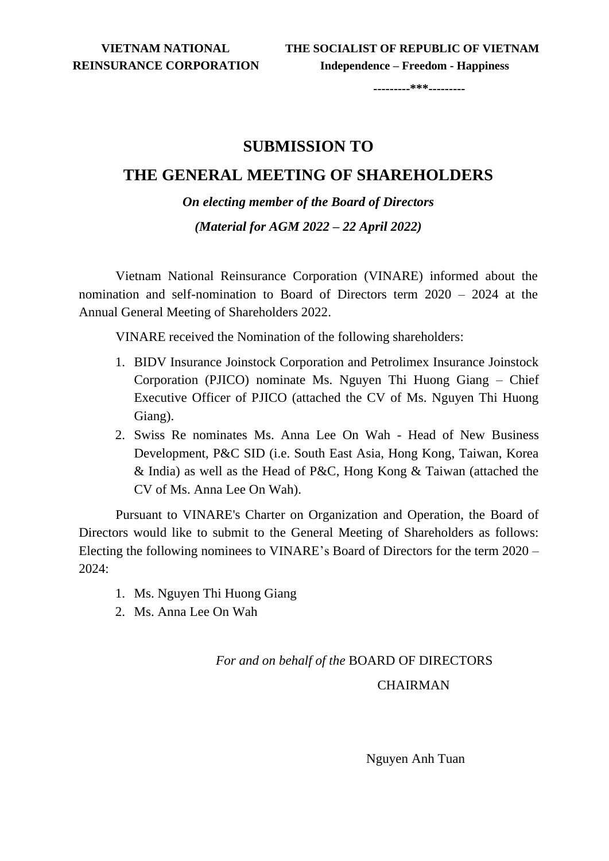**---------\*\*\*---------**

# **SUBMISSION TO**

## **THE GENERAL MEETING OF SHAREHOLDERS**

*On electing member of the Board of Directors (Material for AGM 2022 – 22 April 2022)*

Vietnam National Reinsurance Corporation (VINARE) informed about the nomination and self-nomination to Board of Directors term 2020 – 2024 at the Annual General Meeting of Shareholders 2022.

VINARE received the Nomination of the following shareholders:

- 1. BIDV Insurance Joinstock Corporation and Petrolimex Insurance Joinstock Corporation (PJICO) nominate Ms. Nguyen Thi Huong Giang – Chief Executive Officer of PJICO (attached the CV of Ms. Nguyen Thi Huong Giang).
- 2. Swiss Re nominates Ms. Anna Lee On Wah Head of New Business Development, P&C SID (i.e. South East Asia, Hong Kong, Taiwan, Korea & India) as well as the Head of P&C, Hong Kong & Taiwan (attached the CV of Ms. Anna Lee On Wah).

Pursuant to VINARE's Charter on Organization and Operation, the Board of Directors would like to submit to the General Meeting of Shareholders as follows: Electing the following nominees to VINARE's Board of Directors for the term 2020 – 2024:

- 1. Ms. Nguyen Thi Huong Giang
- 2. Ms. Anna Lee On Wah

# *For and on behalf of the* BOARD OF DIRECTORS CHAIRMAN

Nguyen Anh Tuan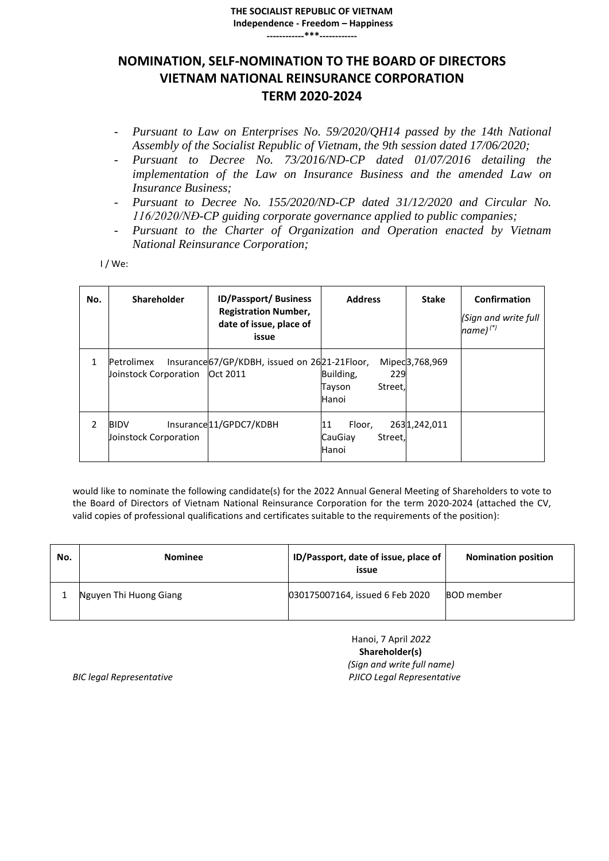# **NOMINATION, SELF-NOMINATION TO THE BOARD OF DIRECTORS VIETNAM NATIONAL REINSURANCE CORPORATION TERM 2020-2024**

- *Pursuant to Law on Enterprises No. 59/2020/QH14 passed by the 14th National Assembly of the Socialist Republic of Vietnam, the 9th session dated 17/06/2020;*
- *Pursuant to Decree No. 73/2016/ND-CP dated 01/07/2016 detailing the implementation of the Law on Insurance Business and the amended Law on Insurance Business;*
- *Pursuant to Decree No. 155/2020/ND-CP dated 31/12/2020 and Circular No. 116/2020/NĐ-CP guiding corporate governance applied to public companies;*
- *Pursuant to the Charter of Organization and Operation enacted by Vietnam National Reinsurance Corporation;*

I / We:

| No. | <b>Shareholder</b>                   | <b>ID/Passport/Business</b><br><b>Registration Number,</b><br>date of issue, place of<br>issue | <b>Address</b>                                 | <b>Stake</b>   | Confirmation<br>(Sign and write full<br>name) <sup>(*)</sup> |
|-----|--------------------------------------|------------------------------------------------------------------------------------------------|------------------------------------------------|----------------|--------------------------------------------------------------|
| 1   | Petrolimex<br>Joinstock Corporation  | Insurance 67/GP/KDBH, issued on 2621-21Floor,<br>Oct 2011                                      | Building,<br>229<br>Street,<br>Tayson<br>Hanoi | Mipec3,768,969 |                                                              |
| 2   | <b>BIDV</b><br>Joinstock Corporation | Insurance 11/GPDC7/KDBH                                                                        | 11<br>Floor,<br>CauGiav<br>Street,<br>Hanoi    | 2631,242,011   |                                                              |

would like to nominate the following candidate(s) for the 2022 Annual General Meeting of Shareholders to vote to the Board of Directors of Vietnam National Reinsurance Corporation for the term 2020-2024 (attached the CV, valid copies of professional qualifications and certificates suitable to the requirements of the position):

| No. | <b>Nominee</b>         | ID/Passport, date of issue, place of<br>issue | <b>Nomination position</b> |
|-----|------------------------|-----------------------------------------------|----------------------------|
|     | Nguyen Thi Huong Giang | 030175007164, issued 6 Feb 2020               | <b>BOD</b> member          |

 Hanoi, 7 April *2022*  **Shareholder(s)**  *(Sign and write full name) BIC legal Representative PJICO Legal Representative*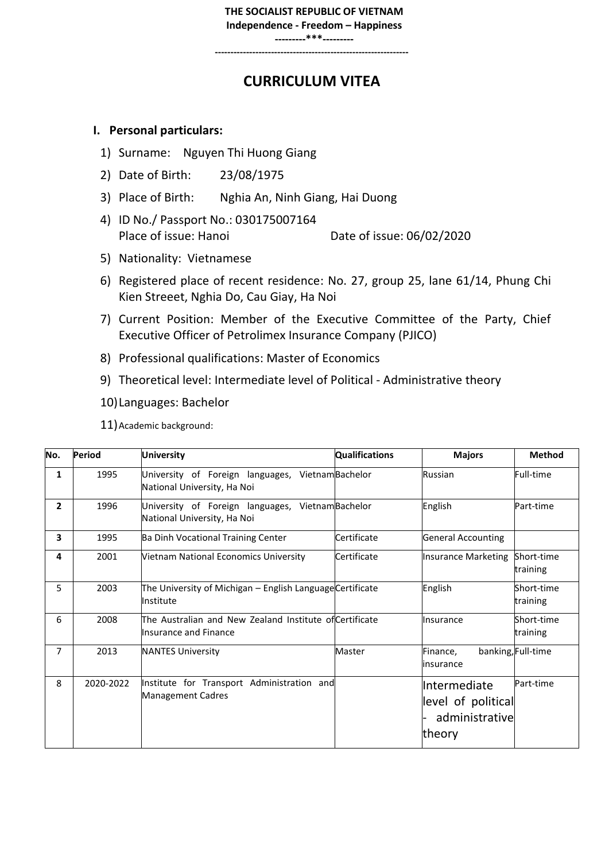## **THE SOCIALIST REPUBLIC OF VIETNAM Independence - Freedom – Happiness**

**---------\*\*\*--------- --------------------------------------------------------------**

# **CURRICULUM VITEA**

## **I. Personal particulars:**

- 1) Surname: Nguyen Thi Huong Giang
- 2) Date of Birth: 23/08/1975
- 3) Place of Birth: Nghia An, Ninh Giang, Hai Duong
- 4) ID No./ Passport No.: 030175007164 Place of issue: Hanoi Date of issue: 06/02/2020
- 5) Nationality: Vietnamese
- 6) Registered place of recent residence: No. 27, group 25, lane 61/14, Phung Chi Kien Streeet, Nghia Do, Cau Giay, Ha Noi
- 7) Current Position: Member of the Executive Committee of the Party, Chief Executive Officer of Petrolimex Insurance Company (PJICO)
- 8) Professional qualifications: Master of Economics
- 9) Theoretical level: Intermediate level of Political Administrative theory
- 10)Languages: Bachelor
- 11)Academic background:

| No.            | <b>Period</b> | <b>University</b>                                                                | <b>Qualifications</b> | <b>Majors</b>                                                  | <b>Method</b>          |
|----------------|---------------|----------------------------------------------------------------------------------|-----------------------|----------------------------------------------------------------|------------------------|
| 1              | 1995          | University of Foreign languages,<br>National University, Ha Noi                  | VietnamBachelor       | Russian                                                        | Full-time              |
| $\overline{2}$ | 1996          | University of Foreign languages, Vietnam Bachelor<br>National University, Ha Noi |                       | English                                                        | Part-time              |
| 3              | 1995          | Ba Dinh Vocational Training Center                                               | Certificate           | <b>General Accounting</b>                                      |                        |
| 4              | 2001          | Vietnam National Economics University                                            | Certificate           | Insurance Marketing Short-time                                 | training               |
| 5              | 2003          | The University of Michigan – English Language Certificate<br>Institute           |                       | English                                                        | Short-time<br>training |
| 6              | 2008          | The Australian and New Zealand Institute of Certificate<br>Insurance and Finance |                       | Insurance                                                      | Short-time<br>training |
| 7              | 2013          | <b>NANTES University</b>                                                         | Master                | Finance,<br>linsurance                                         | banking, Full-time     |
| 8              | 2020-2022     | Institute for Transport Administration and<br>Management Cadres                  |                       | Intermediate<br>level of political<br>administrative<br>theory | Part-time              |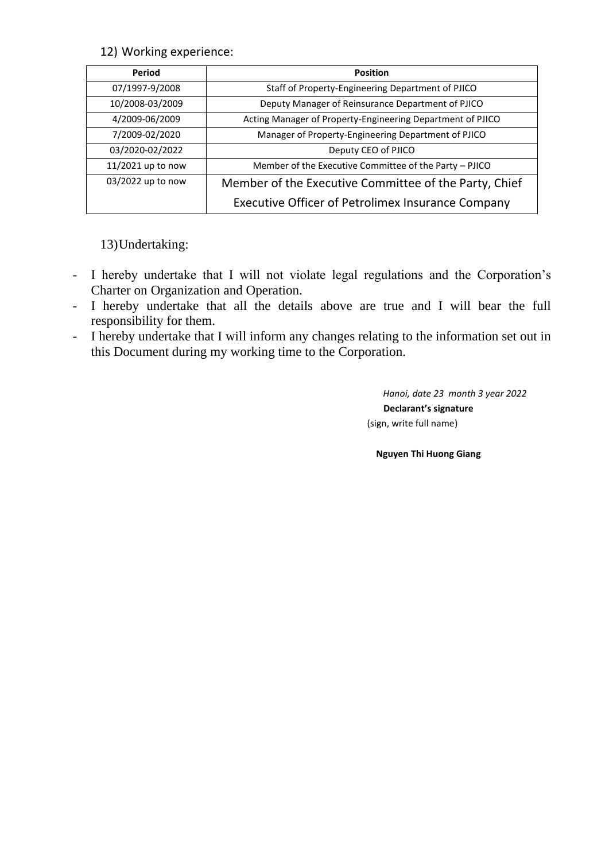## 12) Working experience:

| Period            | <b>Position</b>                                            |
|-------------------|------------------------------------------------------------|
| 07/1997-9/2008    | Staff of Property-Engineering Department of PJICO          |
| 10/2008-03/2009   | Deputy Manager of Reinsurance Department of PJICO          |
| 4/2009-06/2009    | Acting Manager of Property-Engineering Department of PJICO |
| 7/2009-02/2020    | Manager of Property-Engineering Department of PJICO        |
| 03/2020-02/2022   | Deputy CEO of PJICO                                        |
| 11/2021 up to now | Member of the Executive Committee of the Party - PJICO     |
| 03/2022 up to now | Member of the Executive Committee of the Party, Chief      |
|                   | Executive Officer of Petrolimex Insurance Company          |

13)Undertaking:

- I hereby undertake that I will not violate legal regulations and the Corporation's Charter on Organization and Operation.
- I hereby undertake that all the details above are true and I will bear the full responsibility for them.
- I hereby undertake that I will inform any changes relating to the information set out in this Document during my working time to the Corporation.

 *Hanoi, date 23 month 3 year 2022* **Declarant's signature** (sign, write full name)

**Nguyen Thi Huong Giang**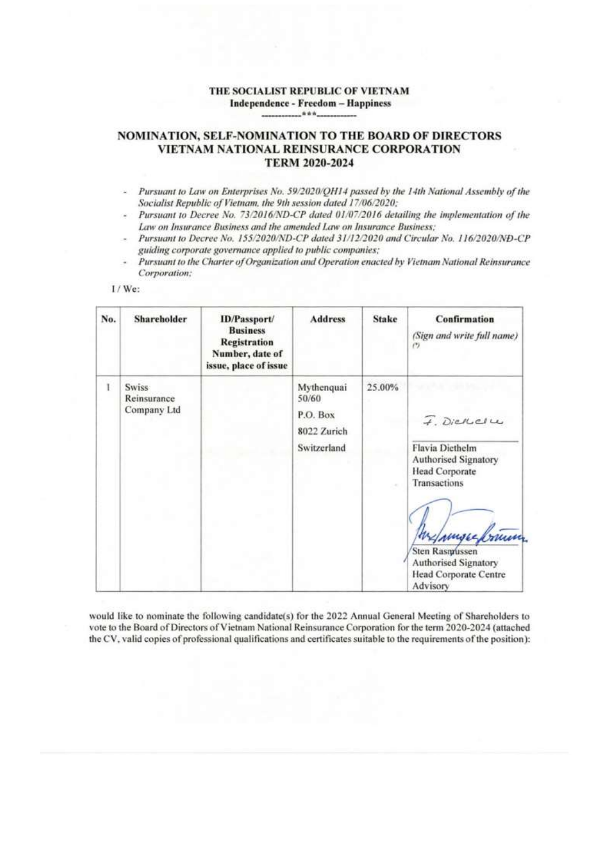#### THE SOCIALIST REPUBLIC OF VIETNAM Independence - Freedom - Happiness --------------\*\*\*<sub>-----</sub>

#### NOMINATION, SELF-NOMINATION TO THE BOARD OF DIRECTORS VIETNAM NATIONAL REINSURANCE CORPORATION **TERM 2020-2024**

- Pursuant to Law on Enterprises No. 59/2020/QH14 passed by the 14th National Assembly of the Socialist Republic of Vietnam, the 9th session dated 17/06/2020;
- Pursuant to Decree No. 73/2016/ND-CP dated 01/07/2016 detailing the implementation of the Law on Insurance Business and the amended Law on Insurance Business:
- Pursuant to Decree No. 155/2020/ND-CP dated 31/12/2020 and Circular No. 116/2020/ND-CP guiding corporate governance applied to public companies;
- Pursuant to the Charter of Organization and Operation enacted by Vietnam National Reinsurance Corporation:

|  | $1/We$ : |
|--|----------|

| No. | Shareholder                                | ID/Passport/<br><b>Business</b><br><b>Registration</b><br>Number, date of<br>issue, place of issue | <b>Address</b>                                                | <b>Stake</b> | <b>Confirmation</b><br>(Sign and write full name)<br>(2)                                                                                                                                    |
|-----|--------------------------------------------|----------------------------------------------------------------------------------------------------|---------------------------------------------------------------|--------------|---------------------------------------------------------------------------------------------------------------------------------------------------------------------------------------------|
| 1   | <b>Swiss</b><br>Reinsurance<br>Company Ltd |                                                                                                    | Mythenquai<br>50/60<br>P.O. Box<br>8022 Zurich<br>Switzerland | 25.00%       | 7. Dickelle<br>Flavia Diethelm<br>Authorised Signatory<br>Head Corporate<br>Transactions<br>Wishinger bruner<br>Sten Rasmussen<br>Authorised Signatory<br>Head Corporate Centre<br>Advisory |

would like to nominate the following candidate(s) for the 2022 Annual General Meeting of Shareholders to vote to the Board of Directors of Vietnam National Reinsurance Corporation for the term 2020-2024 (attached the CV, valid copies of professional qualifications and certificates suitable to the requirements of the position):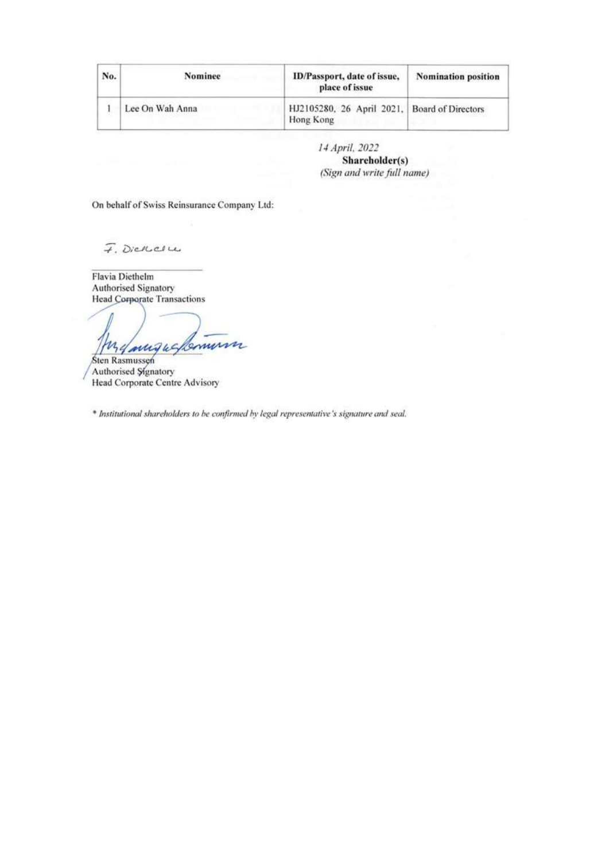| No. | Nominee         | ID/Passport, date of issue,<br>place of issue             | <b>Nomination</b> position |
|-----|-----------------|-----------------------------------------------------------|----------------------------|
|     | Lee On Wah Anna | HJ2105280, 26 April 2021, Board of Directors<br>Hong Kong |                            |

14 April, 2022 Shareholder(s) (Sign and write full name)

On behalf of Swiss Reinsurance Company Ltd:

7. Dickelle

Flavia Diethelm Authorised Signatory **Head Corporate Transactions** 

My angus Comm Sten Rasmussen

Authorised Signatory Head Corporate Centre Advisory

\* Institutional shareholders to be confirmed by legal representative's signature and seal.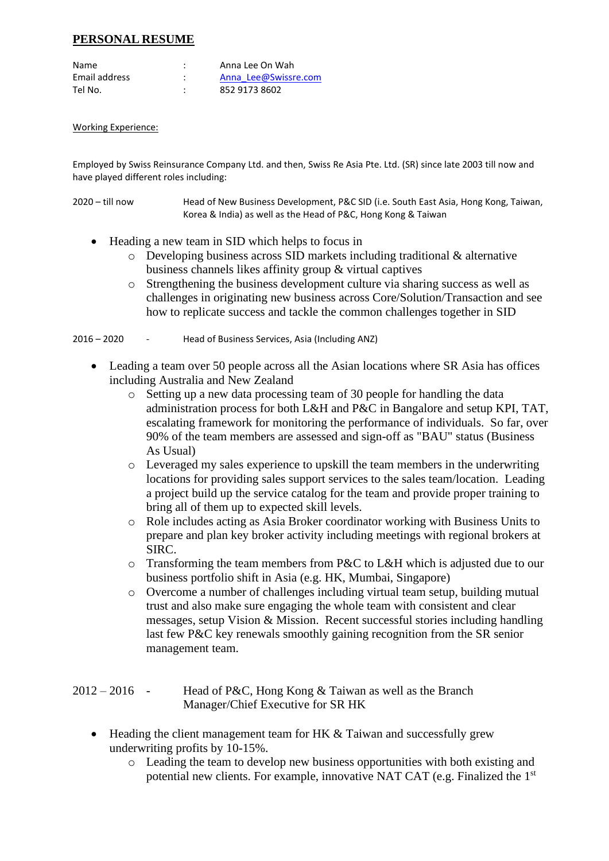#### **PERSONAL RESUME**

| Name          | Anna Lee On Wah      |
|---------------|----------------------|
| Email address | Anna Lee@Swissre.com |
| Tel No.       | 852 9173 8602        |

#### Working Experience:

Employed by Swiss Reinsurance Company Ltd. and then, Swiss Re Asia Pte. Ltd. (SR) since late 2003 till now and have played different roles including:

2020 – till now Head of New Business Development, P&C SID (i.e. South East Asia, Hong Kong, Taiwan, Korea & India) as well as the Head of P&C, Hong Kong & Taiwan

- Heading a new team in SID which helps to focus in
	- $\circ$  Developing business across SID markets including traditional & alternative business channels likes affinity group & virtual captives
	- o Strengthening the business development culture via sharing success as well as challenges in originating new business across Core/Solution/Transaction and see how to replicate success and tackle the common challenges together in SID

2016 – 2020 - Head of Business Services, Asia (Including ANZ)

- Leading a team over 50 people across all the Asian locations where SR Asia has offices including Australia and New Zealand
	- o Setting up a new data processing team of 30 people for handling the data administration process for both L&H and P&C in Bangalore and setup KPI, TAT, escalating framework for monitoring the performance of individuals. So far, over 90% of the team members are assessed and sign-off as "BAU" status (Business As Usual)
	- o Leveraged my sales experience to upskill the team members in the underwriting locations for providing sales support services to the sales team/location. Leading a project build up the service catalog for the team and provide proper training to bring all of them up to expected skill levels.
	- o Role includes acting as Asia Broker coordinator working with Business Units to prepare and plan key broker activity including meetings with regional brokers at SIRC.
	- o Transforming the team members from P&C to L&H which is adjusted due to our business portfolio shift in Asia (e.g. HK, Mumbai, Singapore)
	- o Overcome a number of challenges including virtual team setup, building mutual trust and also make sure engaging the whole team with consistent and clear messages, setup Vision & Mission. Recent successful stories including handling last few P&C key renewals smoothly gaining recognition from the SR senior management team.

### $2012 - 2016$  - Head of P&C, Hong Kong & Taiwan as well as the Branch Manager/Chief Executive for SR HK

- Heading the client management team for HK & Taiwan and successfully grew underwriting profits by 10-15%.
	- o Leading the team to develop new business opportunities with both existing and potential new clients. For example, innovative NAT CAT (e.g. Finalized the 1st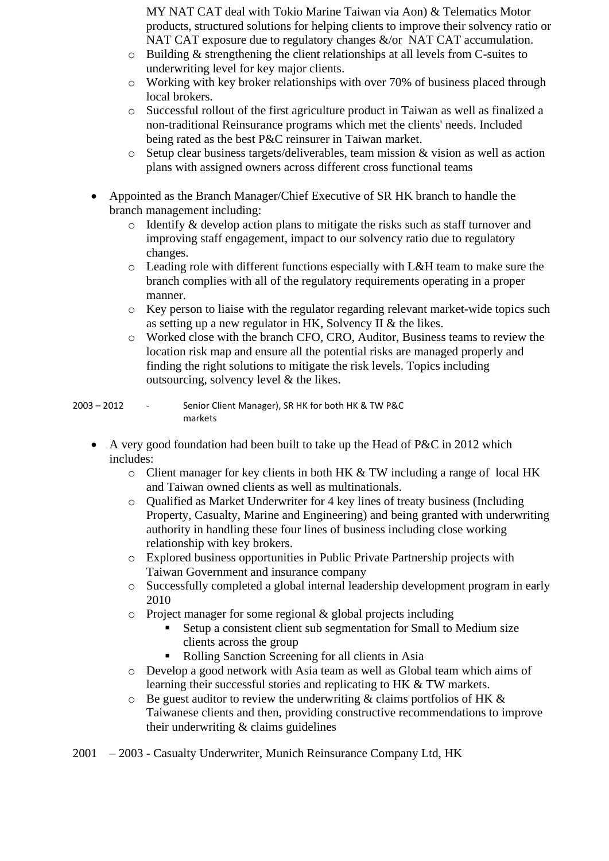MY NAT CAT deal with Tokio Marine Taiwan via Aon) & Telematics Motor products, structured solutions for helping clients to improve their solvency ratio or NAT CAT exposure due to regulatory changes &/or NAT CAT accumulation.

- $\circ$  Building & strengthening the client relationships at all levels from C-suites to underwriting level for key major clients.
- o Working with key broker relationships with over 70% of business placed through local brokers.
- o Successful rollout of the first agriculture product in Taiwan as well as finalized a non-traditional Reinsurance programs which met the clients' needs. Included being rated as the best P&C reinsurer in Taiwan market.
- o Setup clear business targets/deliverables, team mission & vision as well as action plans with assigned owners across different cross functional teams
- Appointed as the Branch Manager/Chief Executive of SR HK branch to handle the branch management including:
	- o Identify & develop action plans to mitigate the risks such as staff turnover and improving staff engagement, impact to our solvency ratio due to regulatory changes.
	- $\circ$  Leading role with different functions especially with L&H team to make sure the branch complies with all of the regulatory requirements operating in a proper manner.
	- o Key person to liaise with the regulator regarding relevant market-wide topics such as setting up a new regulator in HK, Solvency II & the likes.
	- o Worked close with the branch CFO, CRO, Auditor, Business teams to review the location risk map and ensure all the potential risks are managed properly and finding the right solutions to mitigate the risk levels. Topics including outsourcing, solvency level & the likes.

2003 – 2012 - Senior Client Manager), SR HK for both HK & TW P&C markets

- A very good foundation had been built to take up the Head of P&C in 2012 which includes:
	- $\circ$  Client manager for key clients in both HK & TW including a range of local HK and Taiwan owned clients as well as multinationals.
	- o Qualified as Market Underwriter for 4 key lines of treaty business (Including Property, Casualty, Marine and Engineering) and being granted with underwriting authority in handling these four lines of business including close working relationship with key brokers.
	- o Explored business opportunities in Public Private Partnership projects with Taiwan Government and insurance company
	- o Successfully completed a global internal leadership development program in early 2010
	- $\circ$  Project manager for some regional & global projects including
		- Setup a consistent client sub segmentation for Small to Medium size clients across the group
		- Rolling Sanction Screening for all clients in Asia
	- o Develop a good network with Asia team as well as Global team which aims of learning their successful stories and replicating to HK & TW markets.
	- $\circ$  Be guest auditor to review the underwriting & claims portfolios of HK & Taiwanese clients and then, providing constructive recommendations to improve their underwriting & claims guidelines
- 2001 2003 Casualty Underwriter, Munich Reinsurance Company Ltd, HK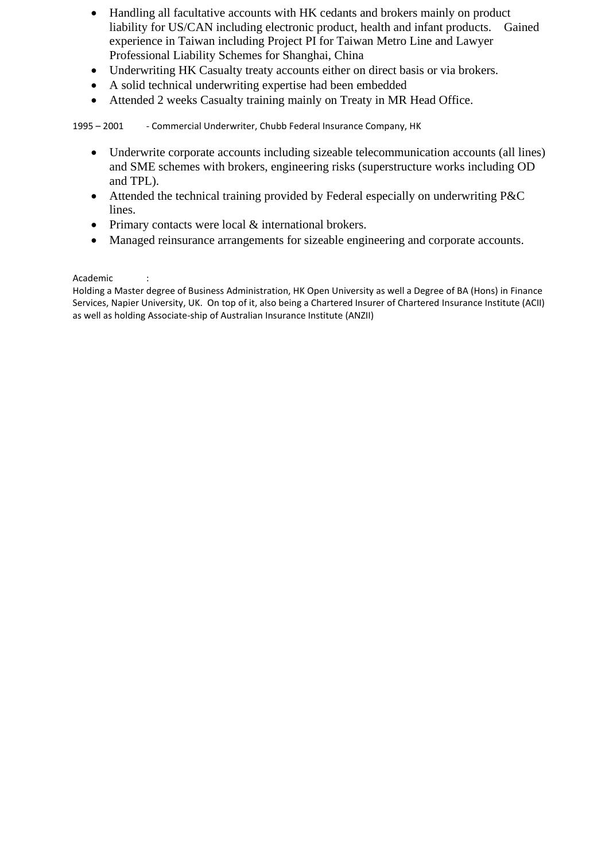- Handling all facultative accounts with HK cedants and brokers mainly on product liability for US/CAN including electronic product, health and infant products. Gained experience in Taiwan including Project PI for Taiwan Metro Line and Lawyer Professional Liability Schemes for Shanghai, China
- Underwriting HK Casualty treaty accounts either on direct basis or via brokers.
- A solid technical underwriting expertise had been embedded
- Attended 2 weeks Casualty training mainly on Treaty in MR Head Office.

1995 – 2001 - Commercial Underwriter, Chubb Federal Insurance Company, HK

- Underwrite corporate accounts including sizeable telecommunication accounts (all lines) and SME schemes with brokers, engineering risks (superstructure works including OD and TPL).
- Attended the technical training provided by Federal especially on underwriting P&C lines.
- Primary contacts were local & international brokers.
- Managed reinsurance arrangements for sizeable engineering and corporate accounts.

#### Academic :

Holding a Master degree of Business Administration, HK Open University as well a Degree of BA (Hons) in Finance Services, Napier University, UK. On top of it, also being a Chartered Insurer of Chartered Insurance Institute (ACII) as well as holding Associate-ship of Australian Insurance Institute (ANZII)